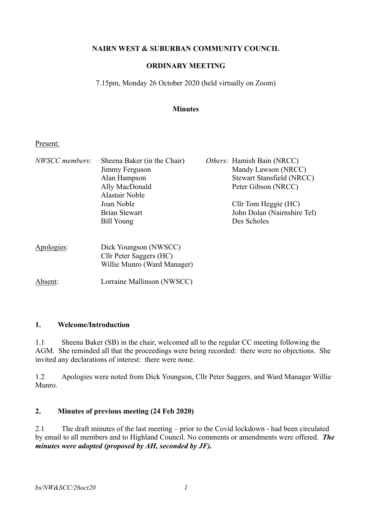# **NAIRN WEST & SUBURBAN COMMUNITY COUNCIL**

# **ORDINARY MEETING**

7.15pm, Monday 26 October 2020 (held virtually on Zoom)

### **Minutes**

### Present:

| <b>NWSCC</b> members: | Sheena Baker (in the Chair)<br>Jimmy Ferguson<br>Alan Hampson<br>Ally MacDonald | <i>Others:</i> Hamish Bain (NRCC)<br>Mandy Lawson (NRCC)<br><b>Stewart Stansfield (NRCC)</b><br>Peter Gibson (NRCC) |
|-----------------------|---------------------------------------------------------------------------------|---------------------------------------------------------------------------------------------------------------------|
|                       | Alastair Noble<br>Joan Noble<br><b>Brian Stewart</b><br>Bill Young              | Cllr Tom Heggie (HC)<br>John Dolan (Nairnshire Tel)<br>Des Scholes                                                  |
| Apologies:            | Dick Youngson (NWSCC)<br>Cllr Peter Saggers (HC)<br>Willie Munro (Ward Manager) |                                                                                                                     |
| Absent:               | Lorraine Mallinson (NWSCC)                                                      |                                                                                                                     |

### **1. Welcome/Introduction**

1.1 Sheena Baker (SB) in the chair, welcomed all to the regular CC meeting following the AGM. She reminded all that the proceedings were being recorded: there were no objections. She invited any declarations of interest: there were none.

1.2 Apologies were noted from Dick Youngson, Cllr Peter Saggers, and Ward Manager Willie Munro.

## **2. Minutes of previous meeting (24 Feb 2020)**

2.1 The draft minutes of the last meeting – prior to the Covid lockdown - had been circulated by email to all members and to Highland Council. No comments or amendments were offered. *The minutes were adopted (proposed by AH, seconded by JF).*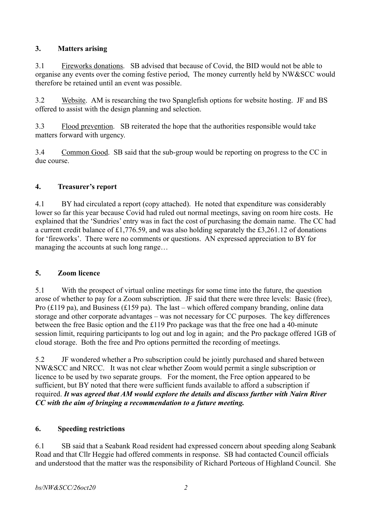# **3. Matters arising**

3.1 Fireworks donations. SB advised that because of Covid, the BID would not be able to organise any events over the coming festive period, The money currently held by NW&SCC would therefore be retained until an event was possible.

3.2 Website. AM is researching the two Spanglefish options for website hosting. JF and BS offered to assist with the design planning and selection.

3.3 Flood prevention. SB reiterated the hope that the authorities responsible would take matters forward with urgency.

3.4 Common Good. SB said that the sub-group would be reporting on progress to the CC in due course.

# **4. Treasurer's report**

4.1 BY had circulated a report (copy attached). He noted that expenditure was considerably lower so far this year because Covid had ruled out normal meetings, saving on room hire costs. He explained that the 'Sundries' entry was in fact the cost of purchasing the domain name. The CC had a current credit balance of £1,776.59, and was also holding separately the £3,261.12 of donations for 'fireworks'. There were no comments or questions. AN expressed appreciation to BY for managing the accounts at such long range…

# **5. Zoom licence**

5.1 With the prospect of virtual online meetings for some time into the future, the question arose of whether to pay for a Zoom subscription. JF said that there were three levels: Basic (free), Pro (£119 pa), and Business (£159 pa). The last – which offered company branding, online data storage and other corporate advantages – was not necessary for CC purposes. The key differences between the free Basic option and the £119 Pro package was that the free one had a 40-minute session limit, requiring participants to log out and log in again; and the Pro package offered 1GB of cloud storage. Both the free and Pro options permitted the recording of meetings.

5.2 JF wondered whether a Pro subscription could be jointly purchased and shared between NW&SCC and NRCC. It was not clear whether Zoom would permit a single subscription or licence to be used by two separate groups. For the moment, the Free option appeared to be sufficient, but BY noted that there were sufficient funds available to afford a subscription if required. *It was agreed that AM would explore the details and discuss further with Nairn River CC with the aim of bringing a recommendation to a future meeting.*

# **6. Speeding restrictions**

6.1 SB said that a Seabank Road resident had expressed concern about speeding along Seabank Road and that Cllr Heggie had offered comments in response. SB had contacted Council officials and understood that the matter was the responsibility of Richard Porteous of Highland Council. She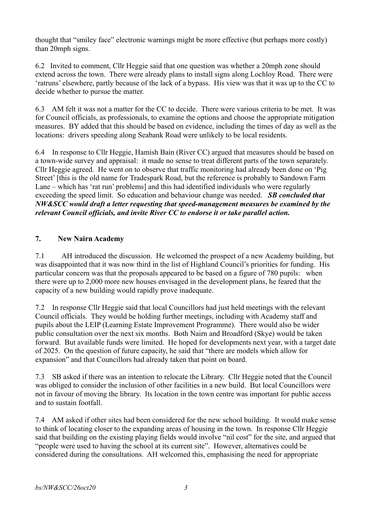thought that "smiley face" electronic warnings might be more effective (but perhaps more costly) than 20mph signs.

6.2 Invited to comment, Cllr Heggie said that one question was whether a 20mph zone should extend across the town. There were already plans to install signs along Lochloy Road. There were 'ratruns' elsewhere, partly because of the lack of a bypass. His view was that it was up to the CC to decide whether to pursue the matter.

6.3 AM felt it was not a matter for the CC to decide. There were various criteria to be met. It was for Council officials, as professionals, to examine the options and choose the appropriate mitigation measures. BY added that this should be based on evidence, including the times of day as well as the locations: drivers speeding along Seabank Road were unlikely to be local residents.

6.4 In response to Cllr Heggie, Hamish Bain (River CC) argued that measures should be based on a town-wide survey and appraisal: it made no sense to treat different parts of the town separately. Cllr Heggie agreed. He went on to observe that traffic monitoring had already been done on 'Pig Street' [this is the old name for Tradespark Road, but the reference is probably to Sandown Farm Lane – which has 'rat run' problems] and this had identified individuals who were regularly exceeding the speed limit. So education and behaviour change was needed. *SB concluded that NW&SCC would draft a letter requesting that speed-management measures be examined by the relevant Council officials, and invite River CC to endorse it or take parallel action.*

# **7. New Nairn Academy**

7.1 AH introduced the discussion. He welcomed the prospect of a new Academy building, but was disappointed that it was now third in the list of Highland Council's priorities for funding. His particular concern was that the proposals appeared to be based on a figure of 780 pupils: when there were up to 2,000 more new houses envisaged in the development plans, he feared that the capacity of a new building would rapidly prove inadequate.

7.2 In response Cllr Heggie said that local Councillors had just held meetings with the relevant Council officials. They would be holding further meetings, including with Academy staff and pupils about the LEIP (Learning Estate Improvement Programme). There would also be wider public consultation over the next six months. Both Nairn and Broadford (Skye) would be taken forward. But available funds were limited. He hoped for developments next year, with a target date of 2025. On the question of future capacity, he said that "there are models which allow for expansion" and that Councillors had already taken that point on board.

7.3 SB asked if there was an intention to relocate the Library. Cllr Heggie noted that the Council was obliged to consider the inclusion of other facilities in a new build. But local Councillors were not in favour of moving the library. Its location in the town centre was important for public access and to sustain footfall.

7.4 AM asked if other sites had been considered for the new school building. It would make sense to think of locating closer to the expanding areas of housing in the town. In response Cllr Heggie said that building on the existing playing fields would involve "nil cost" for the site, and argued that "people were used to having the school at its current site". However, alternatives could be considered during the consultations. AH welcomed this, emphasising the need for appropriate